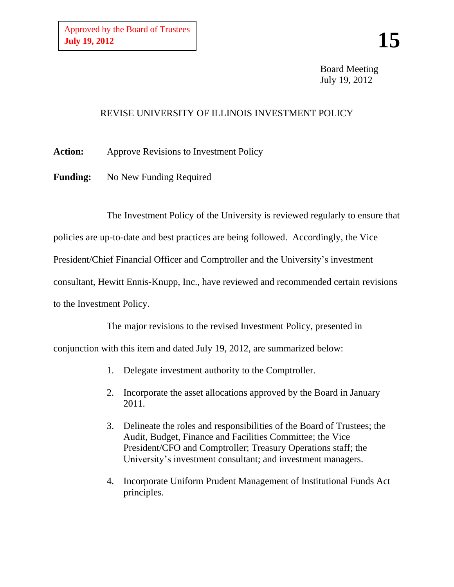Board Meeting July 19, 2012

# REVISE UNIVERSITY OF ILLINOIS INVESTMENT POLICY

**Action:** Approve Revisions to Investment Policy

Funding: No New Funding Required

The Investment Policy of the University is reviewed regularly to ensure that

policies are up-to-date and best practices are being followed. Accordingly, the Vice

President/Chief Financial Officer and Comptroller and the University's investment

consultant, Hewitt Ennis-Knupp, Inc., have reviewed and recommended certain revisions

to the Investment Policy.

The major revisions to the revised Investment Policy, presented in

conjunction with this item and dated July 19, 2012, are summarized below:

- 1. Delegate investment authority to the Comptroller.
- 2. Incorporate the asset allocations approved by the Board in January 2011.
- 3. Delineate the roles and responsibilities of the Board of Trustees; the Audit, Budget, Finance and Facilities Committee; the Vice President/CFO and Comptroller; Treasury Operations staff; the University's investment consultant; and investment managers.
- 4. Incorporate Uniform Prudent Management of Institutional Funds Act principles.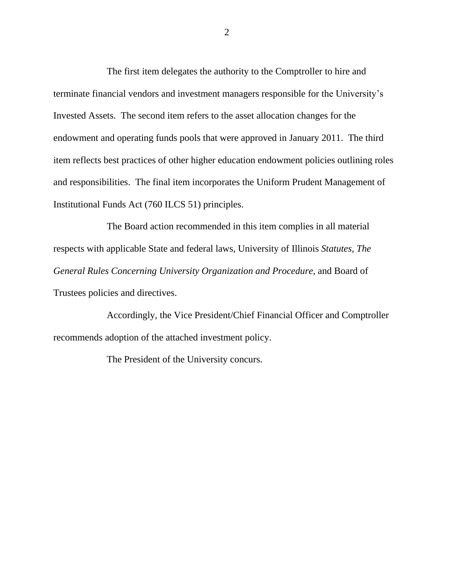The first item delegates the authority to the Comptroller to hire and terminate financial vendors and investment managers responsible for the University's Invested Assets. The second item refers to the asset allocation changes for the endowment and operating funds pools that were approved in January 2011. The third item reflects best practices of other higher education endowment policies outlining roles and responsibilities. The final item incorporates the Uniform Prudent Management of Institutional Funds Act (760 ILCS 51) principles.

The Board action recommended in this item complies in all material respects with applicable State and federal laws, University of Illinois *Statutes, The General Rules Concerning University Organization and Procedure*, and Board of Trustees policies and directives.

Accordingly, the Vice President/Chief Financial Officer and Comptroller recommends adoption of the attached investment policy.

The President of the University concurs.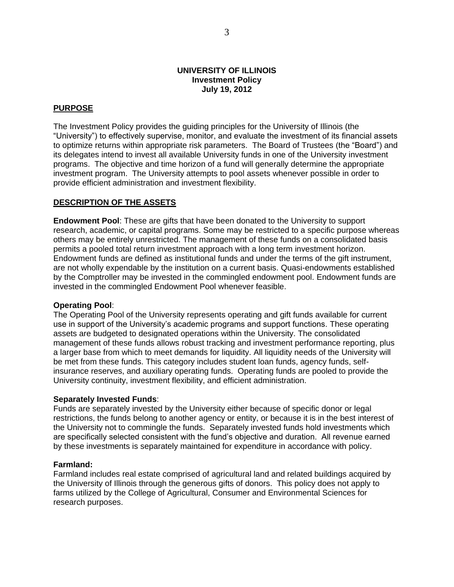#### **UNIVERSITY OF ILLINOIS Investment Policy July 19, 2012**

#### **PURPOSE**

The Investment Policy provides the guiding principles for the University of Illinois (the "University") to effectively supervise, monitor, and evaluate the investment of its financial assets to optimize returns within appropriate risk parameters. The Board of Trustees (the "Board") and its delegates intend to invest all available University funds in one of the University investment programs. The objective and time horizon of a fund will generally determine the appropriate investment program. The University attempts to pool assets whenever possible in order to provide efficient administration and investment flexibility.

#### **DESCRIPTION OF THE ASSETS**

**Endowment Pool**: These are gifts that have been donated to the University to support research, academic, or capital programs. Some may be restricted to a specific purpose whereas others may be entirely unrestricted. The management of these funds on a consolidated basis permits a pooled total return investment approach with a long term investment horizon. Endowment funds are defined as institutional funds and under the terms of the gift instrument, are not wholly expendable by the institution on a current basis. Quasi-endowments established by the Comptroller may be invested in the commingled endowment pool. Endowment funds are invested in the commingled Endowment Pool whenever feasible.

#### **Operating Pool**:

The Operating Pool of the University represents operating and gift funds available for current use in support of the University's academic programs and support functions. These operating assets are budgeted to designated operations within the University. The consolidated management of these funds allows robust tracking and investment performance reporting, plus a larger base from which to meet demands for liquidity. All liquidity needs of the University will be met from these funds. This category includes student loan funds, agency funds, selfinsurance reserves, and auxiliary operating funds. Operating funds are pooled to provide the University continuity, investment flexibility, and efficient administration.

#### **Separately Invested Funds**:

Funds are separately invested by the University either because of specific donor or legal restrictions, the funds belong to another agency or entity, or because it is in the best interest of the University not to commingle the funds. Separately invested funds hold investments which are specifically selected consistent with the fund's objective and duration. All revenue earned by these investments is separately maintained for expenditure in accordance with policy.

#### **Farmland:**

Farmland includes real estate comprised of agricultural land and related buildings acquired by the University of Illinois through the generous gifts of donors. This policy does not apply to farms utilized by the College of Agricultural, Consumer and Environmental Sciences for research purposes.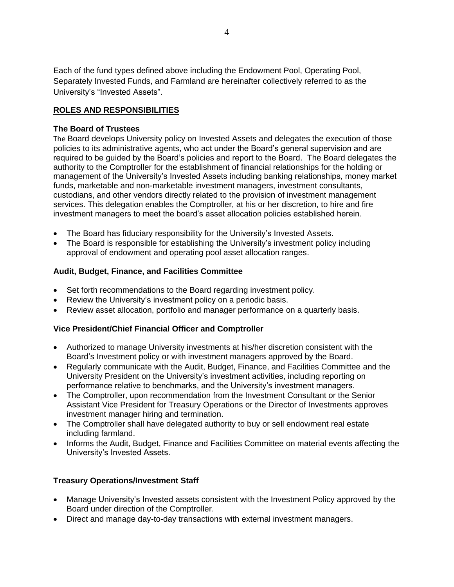Each of the fund types defined above including the Endowment Pool, Operating Pool, Separately Invested Funds, and Farmland are hereinafter collectively referred to as the University's "Invested Assets".

# **ROLES AND RESPONSIBILITIES**

# **The Board of Trustees**

The Board develops University policy on Invested Assets and delegates the execution of those policies to its administrative agents, who act under the Board's general supervision and are required to be guided by the Board's policies and report to the Board. The Board delegates the authority to the Comptroller for the establishment of financial relationships for the holding or management of the University's Invested Assets including banking relationships, money market funds, marketable and non-marketable investment managers, investment consultants, custodians, and other vendors directly related to the provision of investment management services. This delegation enables the Comptroller, at his or her discretion, to hire and fire investment managers to meet the board's asset allocation policies established herein.

- The Board has fiduciary responsibility for the University's Invested Assets.
- The Board is responsible for establishing the University's investment policy including approval of endowment and operating pool asset allocation ranges.

# **Audit, Budget, Finance, and Facilities Committee**

- Set forth recommendations to the Board regarding investment policy.
- Review the University's investment policy on a periodic basis.
- Review asset allocation, portfolio and manager performance on a quarterly basis.

# **Vice President/Chief Financial Officer and Comptroller**

- Authorized to manage University investments at his/her discretion consistent with the Board's Investment policy or with investment managers approved by the Board.
- Regularly communicate with the Audit, Budget, Finance, and Facilities Committee and the University President on the University's investment activities, including reporting on performance relative to benchmarks, and the University's investment managers.
- The Comptroller, upon recommendation from the Investment Consultant or the Senior Assistant Vice President for Treasury Operations or the Director of Investments approves investment manager hiring and termination.
- The Comptroller shall have delegated authority to buy or sell endowment real estate including farmland.
- Informs the Audit, Budget, Finance and Facilities Committee on material events affecting the University's Invested Assets.

# **Treasury Operations/Investment Staff**

- Manage University's Invested assets consistent with the Investment Policy approved by the Board under direction of the Comptroller.
- Direct and manage day-to-day transactions with external investment managers.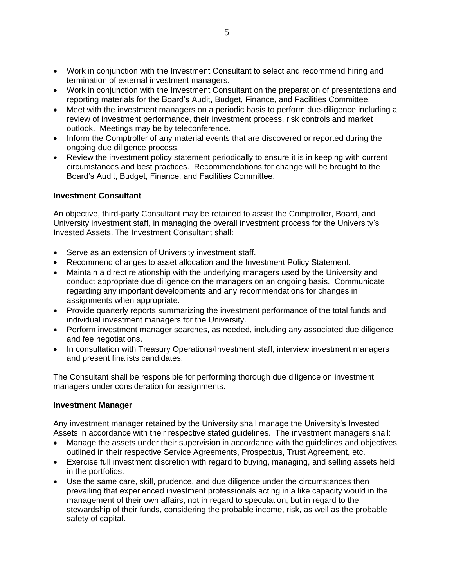- Work in conjunction with the Investment Consultant to select and recommend hiring and termination of external investment managers.
- Work in conjunction with the Investment Consultant on the preparation of presentations and reporting materials for the Board's Audit, Budget, Finance, and Facilities Committee.
- Meet with the investment managers on a periodic basis to perform due-diligence including a review of investment performance, their investment process, risk controls and market outlook. Meetings may be by teleconference.
- Inform the Comptroller of any material events that are discovered or reported during the ongoing due diligence process.
- Review the investment policy statement periodically to ensure it is in keeping with current circumstances and best practices. Recommendations for change will be brought to the Board's Audit, Budget, Finance, and Facilities Committee.

#### **Investment Consultant**

An objective, third-party Consultant may be retained to assist the Comptroller, Board, and University investment staff, in managing the overall investment process for the University's Invested Assets. The Investment Consultant shall:

- Serve as an extension of University investment staff.
- Recommend changes to asset allocation and the Investment Policy Statement.
- Maintain a direct relationship with the underlying managers used by the University and conduct appropriate due diligence on the managers on an ongoing basis. Communicate regarding any important developments and any recommendations for changes in assignments when appropriate.
- Provide quarterly reports summarizing the investment performance of the total funds and individual investment managers for the University.
- Perform investment manager searches, as needed, including any associated due diligence and fee negotiations.
- In consultation with Treasury Operations/Investment staff, interview investment managers and present finalists candidates.

The Consultant shall be responsible for performing thorough due diligence on investment managers under consideration for assignments.

#### **Investment Manager**

Any investment manager retained by the University shall manage the University's Invested Assets in accordance with their respective stated guidelines. The investment managers shall:

- Manage the assets under their supervision in accordance with the guidelines and objectives outlined in their respective Service Agreements, Prospectus, Trust Agreement, etc.
- Exercise full investment discretion with regard to buying, managing, and selling assets held in the portfolios.
- Use the same care, skill, prudence, and due diligence under the circumstances then prevailing that experienced investment professionals acting in a like capacity would in the management of their own affairs, not in regard to speculation, but in regard to the stewardship of their funds, considering the probable income, risk, as well as the probable safety of capital.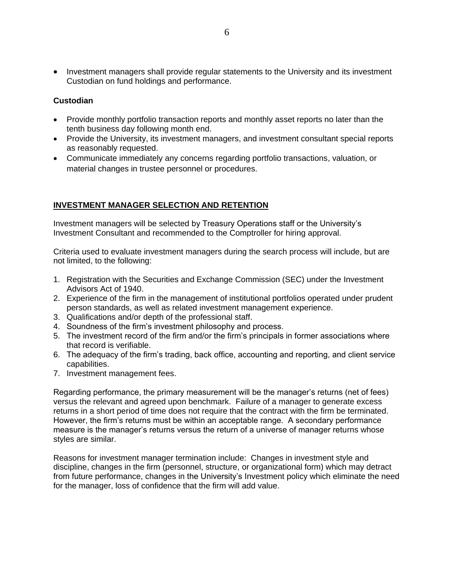• Investment managers shall provide regular statements to the University and its investment Custodian on fund holdings and performance.

# **Custodian**

- Provide monthly portfolio transaction reports and monthly asset reports no later than the tenth business day following month end.
- Provide the University, its investment managers, and investment consultant special reports as reasonably requested.
- Communicate immediately any concerns regarding portfolio transactions, valuation, or material changes in trustee personnel or procedures.

# **INVESTMENT MANAGER SELECTION AND RETENTION**

Investment managers will be selected by Treasury Operations staff or the University's Investment Consultant and recommended to the Comptroller for hiring approval.

Criteria used to evaluate investment managers during the search process will include, but are not limited, to the following:

- 1. Registration with the Securities and Exchange Commission (SEC) under the Investment Advisors Act of 1940.
- 2. Experience of the firm in the management of institutional portfolios operated under prudent person standards, as well as related investment management experience.
- 3. Qualifications and/or depth of the professional staff.
- 4. Soundness of the firm's investment philosophy and process.
- 5. The investment record of the firm and/or the firm's principals in former associations where that record is verifiable.
- 6. The adequacy of the firm's trading, back office, accounting and reporting, and client service capabilities.
- 7. Investment management fees.

Regarding performance, the primary measurement will be the manager's returns (net of fees) versus the relevant and agreed upon benchmark. Failure of a manager to generate excess returns in a short period of time does not require that the contract with the firm be terminated. However, the firm's returns must be within an acceptable range. A secondary performance measure is the manager's returns versus the return of a universe of manager returns whose styles are similar.

Reasons for investment manager termination include: Changes in investment style and discipline, changes in the firm (personnel, structure, or organizational form) which may detract from future performance, changes in the University's Investment policy which eliminate the need for the manager, loss of confidence that the firm will add value.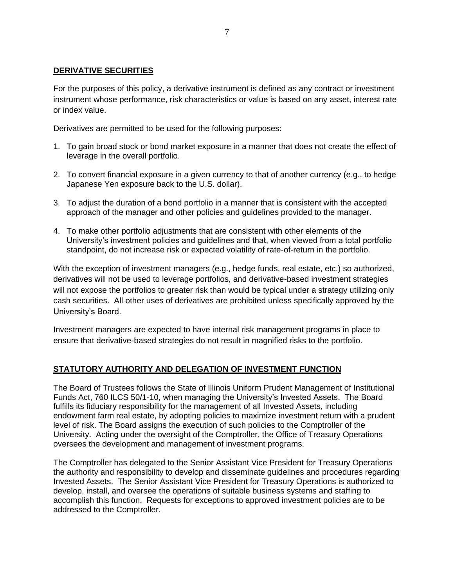# **DERIVATIVE SECURITIES**

For the purposes of this policy, a derivative instrument is defined as any contract or investment instrument whose performance, risk characteristics or value is based on any asset, interest rate or index value.

Derivatives are permitted to be used for the following purposes:

- 1. To gain broad stock or bond market exposure in a manner that does not create the effect of leverage in the overall portfolio.
- 2. To convert financial exposure in a given currency to that of another currency (e.g., to hedge Japanese Yen exposure back to the U.S. dollar).
- 3. To adjust the duration of a bond portfolio in a manner that is consistent with the accepted approach of the manager and other policies and guidelines provided to the manager.
- 4. To make other portfolio adjustments that are consistent with other elements of the University's investment policies and guidelines and that, when viewed from a total portfolio standpoint, do not increase risk or expected volatility of rate-of-return in the portfolio.

With the exception of investment managers (e.g., hedge funds, real estate, etc.) so authorized, derivatives will not be used to leverage portfolios, and derivative-based investment strategies will not expose the portfolios to greater risk than would be typical under a strategy utilizing only cash securities. All other uses of derivatives are prohibited unless specifically approved by the University's Board.

Investment managers are expected to have internal risk management programs in place to ensure that derivative-based strategies do not result in magnified risks to the portfolio.

# **STATUTORY AUTHORITY AND DELEGATION OF INVESTMENT FUNCTION**

The Board of Trustees follows the State of Illinois Uniform Prudent Management of Institutional Funds Act, 760 ILCS 50/1-10, when managing the University's Invested Assets. The Board fulfills its fiduciary responsibility for the management of all Invested Assets, including endowment farm real estate, by adopting policies to maximize investment return with a prudent level of risk. The Board assigns the execution of such policies to the Comptroller of the University. Acting under the oversight of the Comptroller, the Office of Treasury Operations oversees the development and management of investment programs.

The Comptroller has delegated to the Senior Assistant Vice President for Treasury Operations the authority and responsibility to develop and disseminate guidelines and procedures regarding Invested Assets. The Senior Assistant Vice President for Treasury Operations is authorized to develop, install, and oversee the operations of suitable business systems and staffing to accomplish this function. Requests for exceptions to approved investment policies are to be addressed to the Comptroller.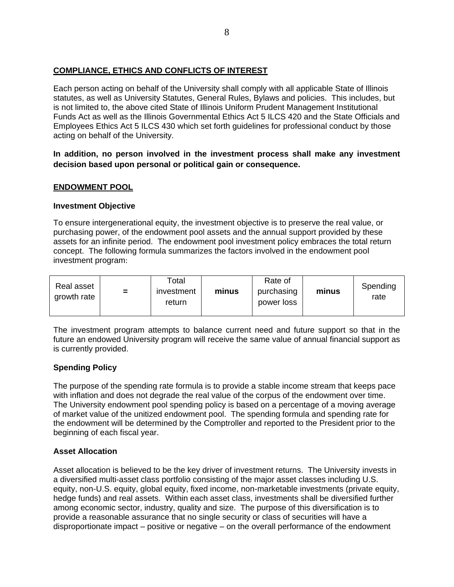# **COMPLIANCE, ETHICS AND CONFLICTS OF INTEREST**

Each person acting on behalf of the University shall comply with all applicable State of Illinois statutes, as well as University Statutes, General Rules, Bylaws and policies. This includes, but is not limited to, the above cited State of Illinois Uniform Prudent Management Institutional Funds Act as well as the Illinois Governmental Ethics Act 5 ILCS 420 and the State Officials and Employees Ethics Act 5 ILCS 430 which set forth guidelines for professional conduct by those acting on behalf of the University.

**In addition, no person involved in the investment process shall make any investment decision based upon personal or political gain or consequence.**

# **ENDOWMENT POOL**

#### **Investment Objective**

To ensure intergenerational equity, the investment objective is to preserve the real value, or purchasing power, of the endowment pool assets and the annual support provided by these assets for an infinite period. The endowment pool investment policy embraces the total return concept. The following formula summarizes the factors involved in the endowment pool investment program:

| Real asset<br>growth rate | $\equiv$ | Total<br>investment<br>return | minus | Rate of<br>purchasing<br>power loss | minus | Spending<br>rate |
|---------------------------|----------|-------------------------------|-------|-------------------------------------|-------|------------------|
|---------------------------|----------|-------------------------------|-------|-------------------------------------|-------|------------------|

The investment program attempts to balance current need and future support so that in the future an endowed University program will receive the same value of annual financial support as is currently provided.

#### **Spending Policy**

The purpose of the spending rate formula is to provide a stable income stream that keeps pace with inflation and does not degrade the real value of the corpus of the endowment over time. The University endowment pool spending policy is based on a percentage of a moving average of market value of the unitized endowment pool. The spending formula and spending rate for the endowment will be determined by the Comptroller and reported to the President prior to the beginning of each fiscal year.

# **Asset Allocation**

Asset allocation is believed to be the key driver of investment returns. The University invests in a diversified multi-asset class portfolio consisting of the major asset classes including U.S. equity, non-U.S. equity, global equity, fixed income, non-marketable investments (private equity, hedge funds) and real assets. Within each asset class, investments shall be diversified further among economic sector, industry, quality and size. The purpose of this diversification is to provide a reasonable assurance that no single security or class of securities will have a disproportionate impact – positive or negative – on the overall performance of the endowment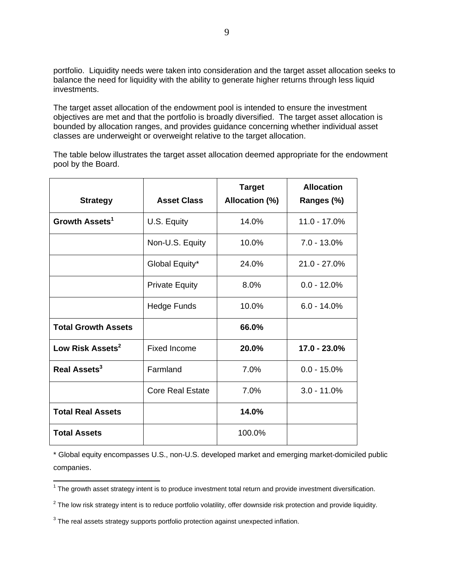portfolio. Liquidity needs were taken into consideration and the target asset allocation seeks to balance the need for liquidity with the ability to generate higher returns through less liquid investments.

The target asset allocation of the endowment pool is intended to ensure the investment objectives are met and that the portfolio is broadly diversified. The target asset allocation is bounded by allocation ranges, and provides guidance concerning whether individual asset classes are underweight or overweight relative to the target allocation.

The table below illustrates the target asset allocation deemed appropriate for the endowment pool by the Board.

| <b>Strategy</b>              | <b>Asset Class</b>      | <b>Target</b><br>Allocation (%) | <b>Allocation</b><br>Ranges (%) |  |
|------------------------------|-------------------------|---------------------------------|---------------------------------|--|
| Growth Assets <sup>1</sup>   | U.S. Equity             | 14.0%                           | 11.0 - 17.0%                    |  |
|                              | Non-U.S. Equity         | 10.0%                           | $7.0 - 13.0\%$                  |  |
|                              | Global Equity*          | 24.0%                           | $21.0 - 27.0\%$                 |  |
|                              | <b>Private Equity</b>   | 8.0%                            | $0.0 - 12.0\%$                  |  |
|                              | <b>Hedge Funds</b>      | 10.0%                           | $6.0 - 14.0%$                   |  |
| <b>Total Growth Assets</b>   |                         | 66.0%                           |                                 |  |
| Low Risk Assets <sup>2</sup> | <b>Fixed Income</b>     | 20.0%                           | 17.0 - 23.0%                    |  |
| Real Assets <sup>3</sup>     | Farmland                | 7.0%                            | $0.0 - 15.0\%$                  |  |
|                              | <b>Core Real Estate</b> | 7.0%                            | $3.0 - 11.0\%$                  |  |
| <b>Total Real Assets</b>     |                         | 14.0%                           |                                 |  |
| <b>Total Assets</b>          |                         | 100.0%                          |                                 |  |

\* Global equity encompasses U.S., non-U.S. developed market and emerging market-domiciled public companies.

The growth asset strategy intent is to produce investment total return and provide investment diversification.<br>The growth asset strategy intent is to produce investment total return and provide investment diversification.

 $^2$  The low risk strategy intent is to reduce portfolio volatility, offer downside risk protection and provide liquidity.

 $3$  The real assets strategy supports portfolio protection against unexpected inflation.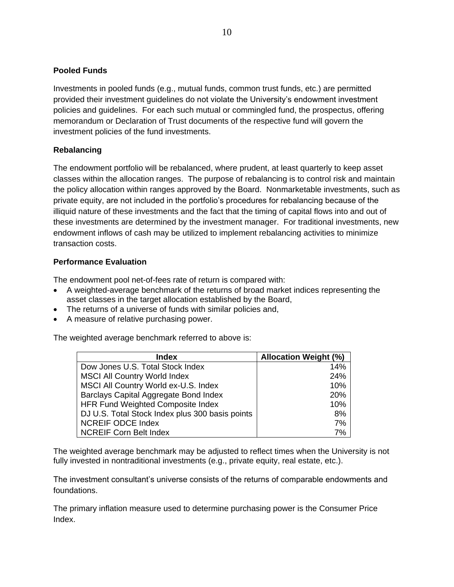# **Pooled Funds**

Investments in pooled funds (e.g., mutual funds, common trust funds, etc.) are permitted provided their investment guidelines do not violate the University's endowment investment policies and guidelines. For each such mutual or commingled fund, the prospectus, offering memorandum or Declaration of Trust documents of the respective fund will govern the investment policies of the fund investments.

# **Rebalancing**

The endowment portfolio will be rebalanced, where prudent, at least quarterly to keep asset classes within the allocation ranges. The purpose of rebalancing is to control risk and maintain the policy allocation within ranges approved by the Board. Nonmarketable investments, such as private equity, are not included in the portfolio's procedures for rebalancing because of the illiquid nature of these investments and the fact that the timing of capital flows into and out of these investments are determined by the investment manager. For traditional investments, new endowment inflows of cash may be utilized to implement rebalancing activities to minimize transaction costs.

### **Performance Evaluation**

The endowment pool net-of-fees rate of return is compared with:

- A weighted-average benchmark of the returns of broad market indices representing the asset classes in the target allocation established by the Board,
- The returns of a universe of funds with similar policies and,
- A measure of relative purchasing power.

The weighted average benchmark referred to above is:

| <b>Index</b>                                    | <b>Allocation Weight (%)</b> |
|-------------------------------------------------|------------------------------|
| Dow Jones U.S. Total Stock Index                | 14%                          |
| <b>MSCI All Country World Index</b>             | 24%                          |
| MSCI All Country World ex-U.S. Index            | 10%                          |
| Barclays Capital Aggregate Bond Index           | 20%                          |
| HFR Fund Weighted Composite Index               | 10%                          |
| DJ U.S. Total Stock Index plus 300 basis points | 8%                           |
| <b>NCREIF ODCE Index</b>                        | 7%                           |
| <b>NCREIF Corn Belt Index</b>                   | 7%                           |

The weighted average benchmark may be adjusted to reflect times when the University is not fully invested in nontraditional investments (e.g., private equity, real estate, etc.).

The investment consultant's universe consists of the returns of comparable endowments and foundations.

The primary inflation measure used to determine purchasing power is the Consumer Price Index.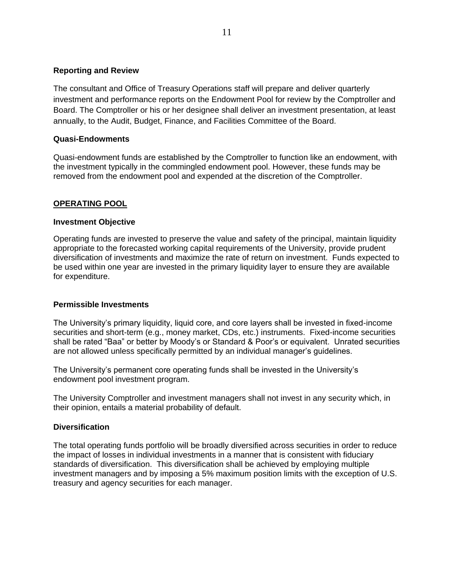#### **Reporting and Review**

The consultant and Office of Treasury Operations staff will prepare and deliver quarterly investment and performance reports on the Endowment Pool for review by the Comptroller and Board. The Comptroller or his or her designee shall deliver an investment presentation, at least annually, to the Audit, Budget, Finance, and Facilities Committee of the Board.

#### **Quasi-Endowments**

Quasi-endowment funds are established by the Comptroller to function like an endowment, with the investment typically in the commingled endowment pool. However, these funds may be removed from the endowment pool and expended at the discretion of the Comptroller.

#### **OPERATING POOL**

#### **Investment Objective**

Operating funds are invested to preserve the value and safety of the principal, maintain liquidity appropriate to the forecasted working capital requirements of the University, provide prudent diversification of investments and maximize the rate of return on investment. Funds expected to be used within one year are invested in the primary liquidity layer to ensure they are available for expenditure.

#### **Permissible Investments**

The University's primary liquidity, liquid core, and core layers shall be invested in fixed-income securities and short-term (e.g., money market, CDs, etc.) instruments. Fixed-income securities shall be rated "Baa" or better by Moody's or Standard & Poor's or equivalent. Unrated securities are not allowed unless specifically permitted by an individual manager's guidelines.

The University's permanent core operating funds shall be invested in the University's endowment pool investment program.

The University Comptroller and investment managers shall not invest in any security which, in their opinion, entails a material probability of default.

#### **Diversification**

The total operating funds portfolio will be broadly diversified across securities in order to reduce the impact of losses in individual investments in a manner that is consistent with fiduciary standards of diversification. This diversification shall be achieved by employing multiple investment managers and by imposing a 5% maximum position limits with the exception of U.S. treasury and agency securities for each manager.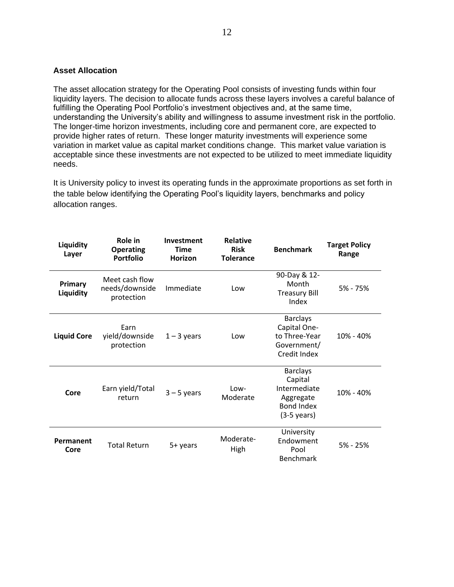#### **Asset Allocation**

The asset allocation strategy for the Operating Pool consists of investing funds within four liquidity layers. The decision to allocate funds across these layers involves a careful balance of fulfilling the Operating Pool Portfolio's investment objectives and, at the same time, understanding the University's ability and willingness to assume investment risk in the portfolio. The longer-time horizon investments, including core and permanent core, are expected to provide higher rates of return. These longer maturity investments will experience some variation in market value as capital market conditions change. This market value variation is acceptable since these investments are not expected to be utilized to meet immediate liquidity needs.

It is University policy to invest its operating funds in the approximate proportions as set forth in the table below identifying the Operating Pool's liquidity layers, benchmarks and policy allocation ranges.

| Liquidity<br>Layer   | Role in<br><b>Operating</b><br><b>Portfolio</b> | Investment<br><b>Time</b><br><b>Horizon</b> | <b>Relative</b><br><b>Risk</b><br><b>Tolerance</b> | <b>Benchmark</b>                                                                                      | <b>Target Policy</b><br>Range |
|----------------------|-------------------------------------------------|---------------------------------------------|----------------------------------------------------|-------------------------------------------------------------------------------------------------------|-------------------------------|
| Primary<br>Liquidity | Meet cash flow<br>needs/downside<br>protection  | Immediate                                   | Low                                                | 90-Day & 12-<br>Month<br><b>Treasury Bill</b><br>Index                                                | 5% - 75%                      |
| <b>Liquid Core</b>   | Earn<br>yield/downside<br>protection            | $1 - 3$ years                               | Low                                                | <b>Barclays</b><br>Capital One-<br>to Three-Year<br>Government/<br>Credit Index                       | 10% - 40%                     |
| Core                 | Earn yield/Total<br>return                      | $3 - 5$ years                               | Low-<br>Moderate                                   | <b>Barclays</b><br>Capital<br>Intermediate<br>Aggregate<br><b>Bond Index</b><br>$(3-5 \text{ years})$ | 10% - 40%                     |
| Permanent<br>Core    | <b>Total Return</b>                             | 5+ years                                    | Moderate-<br>High                                  | University<br>Endowment<br>Pool<br>Benchmark                                                          | 5% - 25%                      |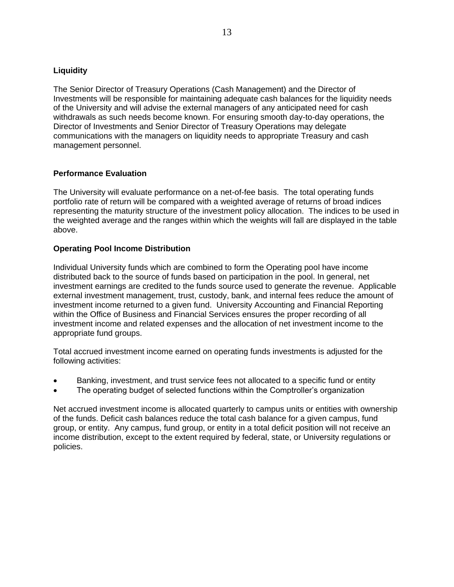# **Liquidity**

The Senior Director of Treasury Operations (Cash Management) and the Director of Investments will be responsible for maintaining adequate cash balances for the liquidity needs of the University and will advise the external managers of any anticipated need for cash withdrawals as such needs become known. For ensuring smooth day-to-day operations, the Director of Investments and Senior Director of Treasury Operations may delegate communications with the managers on liquidity needs to appropriate Treasury and cash management personnel.

#### **Performance Evaluation**

The University will evaluate performance on a net-of-fee basis. The total operating funds portfolio rate of return will be compared with a weighted average of returns of broad indices representing the maturity structure of the investment policy allocation. The indices to be used in the weighted average and the ranges within which the weights will fall are displayed in the table above.

#### **Operating Pool Income Distribution**

Individual University funds which are combined to form the Operating pool have income distributed back to the source of funds based on participation in the pool. In general, net investment earnings are credited to the funds source used to generate the revenue. Applicable external investment management, trust, custody, bank, and internal fees reduce the amount of investment income returned to a given fund. University Accounting and Financial Reporting within the Office of Business and Financial Services ensures the proper recording of all investment income and related expenses and the allocation of net investment income to the appropriate fund groups.

Total accrued investment income earned on operating funds investments is adjusted for the following activities:

- Banking, investment, and trust service fees not allocated to a specific fund or entity
- The operating budget of selected functions within the Comptroller's organization

Net accrued investment income is allocated quarterly to campus units or entities with ownership of the funds. Deficit cash balances reduce the total cash balance for a given campus, fund group, or entity. Any campus, fund group, or entity in a total deficit position will not receive an income distribution, except to the extent required by federal, state, or University regulations or policies.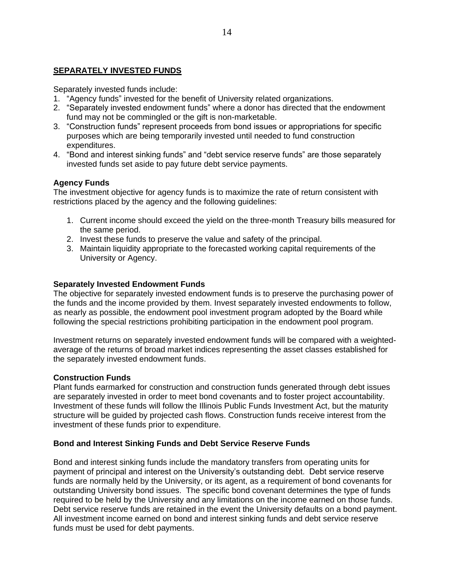### **SEPARATELY INVESTED FUNDS**

Separately invested funds include:

- 1. "Agency funds" invested for the benefit of University related organizations.
- 2. "Separately invested endowment funds" where a donor has directed that the endowment fund may not be commingled or the gift is non-marketable.
- 3. "Construction funds" represent proceeds from bond issues or appropriations for specific purposes which are being temporarily invested until needed to fund construction expenditures.
- 4. "Bond and interest sinking funds" and "debt service reserve funds" are those separately invested funds set aside to pay future debt service payments.

#### **Agency Funds**

The investment objective for agency funds is to maximize the rate of return consistent with restrictions placed by the agency and the following guidelines:

- 1. Current income should exceed the yield on the three-month Treasury bills measured for the same period.
- 2. Invest these funds to preserve the value and safety of the principal.
- 3. Maintain liquidity appropriate to the forecasted working capital requirements of the University or Agency.

#### **Separately Invested Endowment Funds**

The objective for separately invested endowment funds is to preserve the purchasing power of the funds and the income provided by them. Invest separately invested endowments to follow, as nearly as possible, the endowment pool investment program adopted by the Board while following the special restrictions prohibiting participation in the endowment pool program.

Investment returns on separately invested endowment funds will be compared with a weightedaverage of the returns of broad market indices representing the asset classes established for the separately invested endowment funds.

#### **Construction Funds**

Plant funds earmarked for construction and construction funds generated through debt issues are separately invested in order to meet bond covenants and to foster project accountability. Investment of these funds will follow the Illinois Public Funds Investment Act, but the maturity structure will be guided by projected cash flows. Construction funds receive interest from the investment of these funds prior to expenditure.

#### **Bond and Interest Sinking Funds and Debt Service Reserve Funds**

Bond and interest sinking funds include the mandatory transfers from operating units for payment of principal and interest on the University's outstanding debt. Debt service reserve funds are normally held by the University, or its agent, as a requirement of bond covenants for outstanding University bond issues. The specific bond covenant determines the type of funds required to be held by the University and any limitations on the income earned on those funds. Debt service reserve funds are retained in the event the University defaults on a bond payment. All investment income earned on bond and interest sinking funds and debt service reserve funds must be used for debt payments.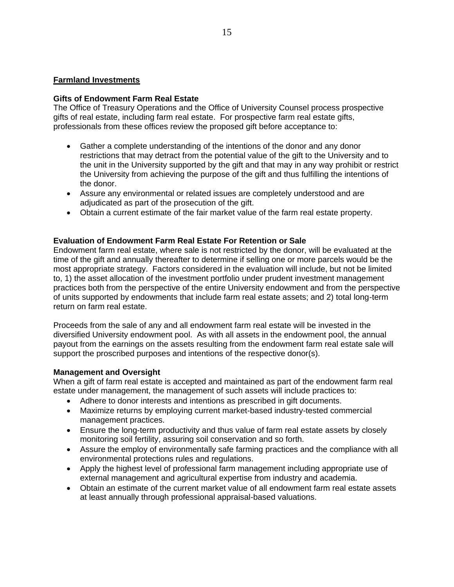#### **Farmland Investments**

#### **Gifts of Endowment Farm Real Estate**

The Office of Treasury Operations and the Office of University Counsel process prospective gifts of real estate, including farm real estate. For prospective farm real estate gifts, professionals from these offices review the proposed gift before acceptance to:

- Gather a complete understanding of the intentions of the donor and any donor restrictions that may detract from the potential value of the gift to the University and to the unit in the University supported by the gift and that may in any way prohibit or restrict the University from achieving the purpose of the gift and thus fulfilling the intentions of the donor.
- Assure any environmental or related issues are completely understood and are adjudicated as part of the prosecution of the gift.
- Obtain a current estimate of the fair market value of the farm real estate property.

#### **Evaluation of Endowment Farm Real Estate For Retention or Sale**

Endowment farm real estate, where sale is not restricted by the donor, will be evaluated at the time of the gift and annually thereafter to determine if selling one or more parcels would be the most appropriate strategy. Factors considered in the evaluation will include, but not be limited to, 1) the asset allocation of the investment portfolio under prudent investment management practices both from the perspective of the entire University endowment and from the perspective of units supported by endowments that include farm real estate assets; and 2) total long-term return on farm real estate.

Proceeds from the sale of any and all endowment farm real estate will be invested in the diversified University endowment pool. As with all assets in the endowment pool, the annual payout from the earnings on the assets resulting from the endowment farm real estate sale will support the proscribed purposes and intentions of the respective donor(s).

#### **Management and Oversight**

When a gift of farm real estate is accepted and maintained as part of the endowment farm real estate under management, the management of such assets will include practices to:

- Adhere to donor interests and intentions as prescribed in gift documents.
- Maximize returns by employing current market-based industry-tested commercial management practices.
- Ensure the long-term productivity and thus value of farm real estate assets by closely monitoring soil fertility, assuring soil conservation and so forth.
- Assure the employ of environmentally safe farming practices and the compliance with all environmental protections rules and regulations.
- Apply the highest level of professional farm management including appropriate use of external management and agricultural expertise from industry and academia.
- Obtain an estimate of the current market value of all endowment farm real estate assets at least annually through professional appraisal-based valuations.